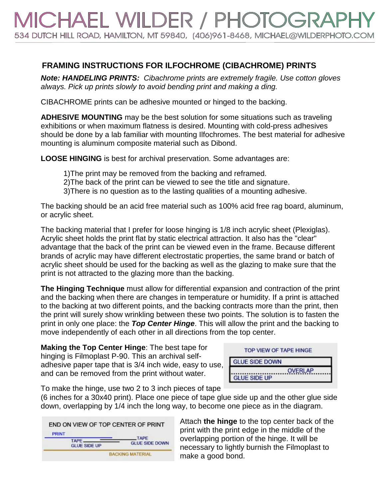## CHAEL WILDER / PHOTOG 534 DUTCH HILL ROAD, HAMILTON, MT 59840, (406)961-8468, MICHAEL@WILDERPHOTO.COM

## **FRAMING INSTRUCTIONS FOR ILFOCHROME (CIBACHROME) PRINTS**

*Note: HANDELING PRINTS: Cibachrome prints are extremely fragile. Use cotton gloves always. Pick up prints slowly to avoid bending print and making a ding.*

CIBACHROME prints can be adhesive mounted or hinged to the backing.

**ADHESIVE MOUNTING** may be the best solution for some situations such as traveling exhibitions or when maximum flatness is desired. Mounting with cold-press adhesives should be done by a lab familiar with mounting Ilfochromes. The best material for adhesive mounting is aluminum composite material such as Dibond.

**LOOSE HINGING** is best for archival preservation. Some advantages are:

- 1)The print may be removed from the backing and reframed.
- 2)The back of the print can be viewed to see the title and signature.
- 3)There is no question as to the lasting qualities of a mounting adhesive.

The backing should be an acid free material such as 100% acid free rag board, aluminum, or acrylic sheet.

The backing material that I prefer for loose hinging is 1/8 inch acrylic sheet (Plexiglas). Acrylic sheet holds the print flat by static electrical attraction. It also has the "clear" advantage that the back of the print can be viewed even in the frame. Because different brands of acrylic may have different electrostatic properties, the same brand or batch of acrylic sheet should be used for the backing as well as the glazing to make sure that the print is not attracted to the glazing more than the backing.

**The Hinging Technique** must allow for differential expansion and contraction of the print and the backing when there are changes in temperature or humidity. If a print is attached to the backing at two different points, and the backing contracts more than the print, then the print will surely show wrinkling between these two points. The solution is to fasten the print in only one place: the *Top Center Hinge*. This will allow the print and the backing to move independently of each other in all directions from the top center.

**Making the Top Center Hinge**: The best tape for hinging is Filmoplast P-90. This an archival selfadhesive paper tape that is 3/4 inch wide, easy to use, and can be removed from the print without water.

| TOP VIEW OF TAPE HINGE |
|------------------------|
| <b>GLUE SIDE DOWN</b>  |
| <b>OVERLAP</b>         |
| <b>GLUE SIDE UP</b>    |

To make the hinge, use two 2 to 3 inch pieces of tape

(6 inches for a 30x40 print). Place one piece of tape glue side up and the other glue side down, overlapping by 1/4 inch the long way, to become one piece as in the diagram.



Attach **the hinge** to the top center back of the print with the print edge in the middle of the overlapping portion of the hinge. It will be necessary to lightly burnish the Filmoplast to make a good bond.